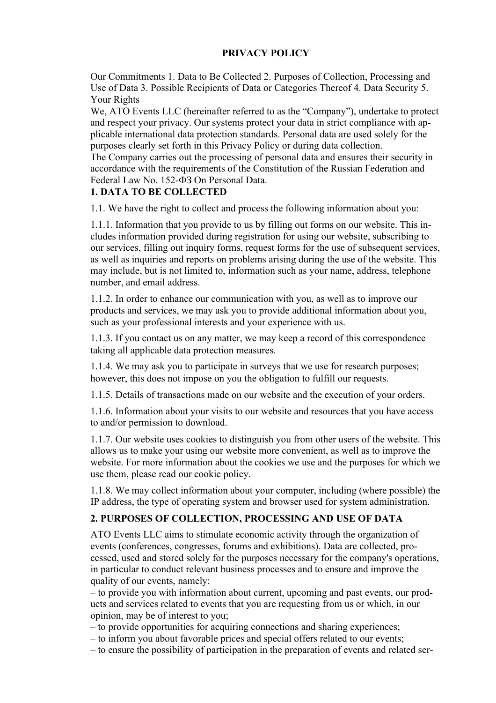#### **PRIVACY POLICY**

Our Commitments 1. Data to Be Collected 2. Purposes of Collection, Processing and Use of Data 3. Possible Recipients of Data or Categories Thereof 4. Data Security 5. Your Rights

We, ATO Events LLC (hereinafter referred to as the "Company"), undertake to protect and respect your privacy. Our systems protect your data in strict compliance with applicable international data protection standards. Personal data are used solely for the purposes clearly set forth in this Privacy Policy or during data collection.

The Company carries out the processing of personal data and ensures their security in accordance with the requirements of the Constitution of the Russian Federation and Federal Law No. 152-ФЗ On Personal Data.

# **1. DATA TO BE COLLECTED**

1.1. We have the right to collect and process the following information about you:

1.1.1. Information that you provide to us by filling out forms on our website. This includes information provided during registration for using our website, subscribing to our services, filling out inquiry forms, request forms for the use of subsequent services, as well as inquiries and reports on problems arising during the use of the website. This may include, but is not limited to, information such as your name, address, telephone number, and email address.

1.1.2. In order to enhance our communication with you, as well as to improve our products and services, we may ask you to provide additional information about you, such as your professional interests and your experience with us.

1.1.3. If you contact us on any matter, we may keep a record of this correspondence taking all applicable data protection measures.

1.1.4. We may ask you to participate in surveys that we use for research purposes; however, this does not impose on you the obligation to fulfill our requests.

1.1.5. Details of transactions made on our website and the execution of your orders.

1.1.6. Information about your visits to our website and resources that you have access to and/or permission to download.

1.1.7. Our website uses cookies to distinguish you from other users of the website. This allows us to make your using our website more convenient, as well as to improve the website. For more information about the cookies we use and the purposes for which we use them, please read our cookie policy.

1.1.8. We may collect information about your computer, including (where possible) the IP address, the type of operating system and browser used for system administration.

#### **2. PURPOSES OF COLLECTION, PROCESSING AND USE OF DATA**

ATO Events LLC aims to stimulate economic activity through the organization of events (conferences, congresses, forums and exhibitions). Data are collected, processed, used and stored solely for the purposes necessary for the company's operations, in particular to conduct relevant business processes and to ensure and improve the quality of our events, namely:

– to provide you with information about current, upcoming and past events, our products and services related to events that you are requesting from us or which, in our opinion, may be of interest to you;

– to provide opportunities for acquiring connections and sharing experiences;

- to inform you about favorable prices and special offers related to our events;
- to ensure the possibility of participation in the preparation of events and related ser-